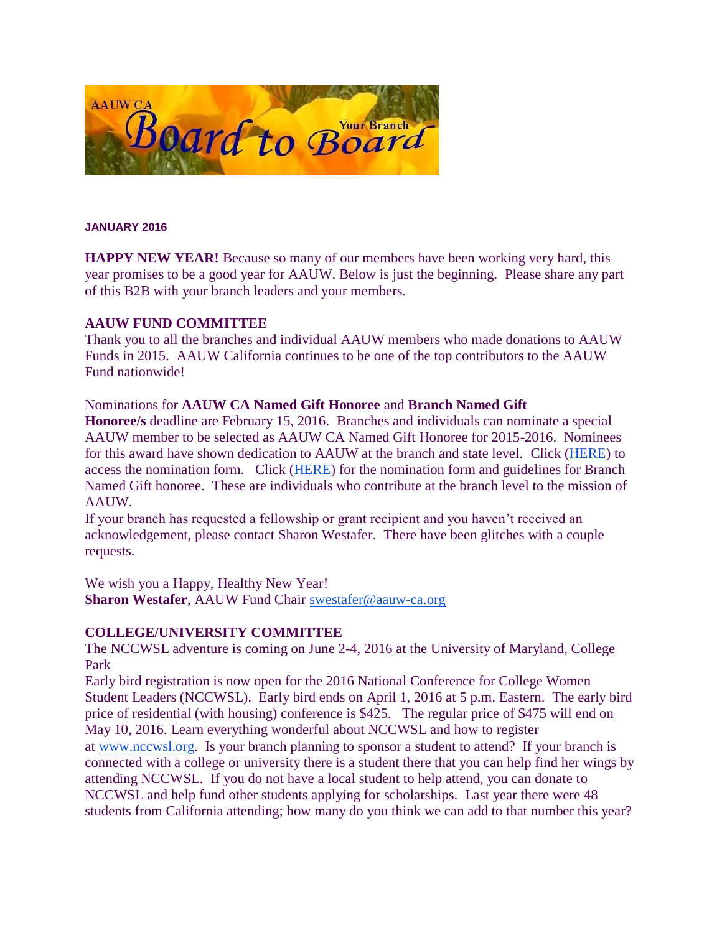

#### **JANUARY 2016**

**HAPPY NEW YEAR!** Because so many of our members have been working very hard, this year promises to be a good year for AAUW. Below is just the beginning. Please share any part of this B2B with your branch leaders and your members.

### **AAUW FUND COMMITTEE**

Thank you to all the branches and individual AAUW members who made donations to AAUW Funds in 2015. AAUW California continues to be one of the top contributors to the AAUW Fund nationwide!

### Nominations for **AAUW CA Named Gift Honoree** and **Branch Named Gift**

**Honoree/s** deadline are February 15, 2016. Branches and individuals can nominate a special AAUW member to be selected as AAUW CA Named Gift Honoree for 2015-2016. Nominees for this award have shown dedication to AAUW at the branch and state level. Click [\(HERE\)](http://www.aauw-ca.org/Assets/resources/11.StateNamedGiftAward2015-2016.doc) to access the nomination form. Click [\(HERE\)](http://www.aauw-ca.org/Assets/resources/10.BranchNamedGiftAward2015-2016.doc) for the nomination form and guidelines for Branch Named Gift honoree. These are individuals who contribute at the branch level to the mission of AAUW.

If your branch has requested a fellowship or grant recipient and you haven't received an acknowledgement, please contact Sharon Westafer. There have been glitches with a couple requests.

We wish you a Happy, Healthy New Year!

**Sharon Westafer**, AAUW Fund Chair [swestafer@aauw-ca.org](mailto:swestafer@aauw-ca.org)

## **COLLEGE/UNIVERSITY COMMITTEE**

The NCCWSL adventure is coming on June 2-4, 2016 at the University of Maryland, College Park

Early bird registration is now open for the 2016 National Conference for College Women Student Leaders (NCCWSL). Early bird ends on April 1, 2016 at 5 p.m. Eastern. The early bird price of residential (with housing) conference is \$425. The regular price of \$475 will end on May 10, 2016. Learn everything wonderful about NCCWSL and how to register at [www.nccwsl.org.](http://www.nccwsl.org/) Is your branch planning to sponsor a student to attend? If your branch is connected with a college or university there is a student there that you can help find her wings by attending NCCWSL. If you do not have a local student to help attend, you can donate to NCCWSL and help fund other students applying for scholarships. Last year there were 48 students from California attending; how many do you think we can add to that number this year?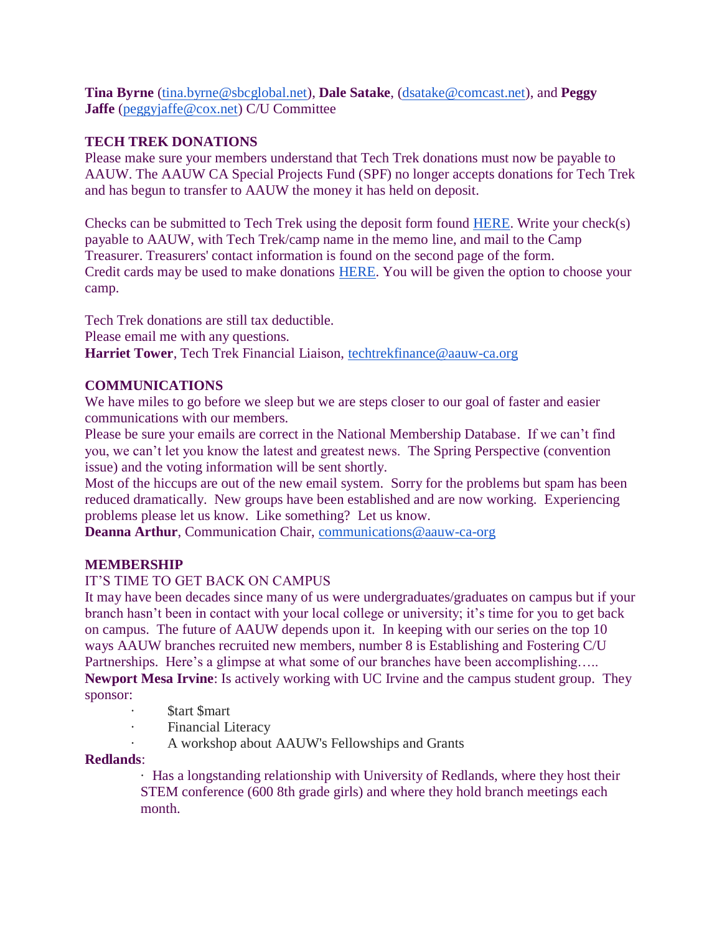**Tina Byrne** [\(tina.byrne@sbcglobal.net\)](mailto:tina.byrne@sbcglobal.net), **Dale Satake**, [\(dsatake@comcast.net\)](mailto:dsatake@comcast.net), and **Peggy Jaffe** [\(peggyjaffe@cox.net\)](mailto:peggyjaffe@cox.net) C/U Committee

## **TECH TREK DONATIONS**

Please make sure your members understand that Tech Trek donations must now be payable to AAUW. The AAUW CA Special Projects Fund (SPF) no longer accepts donations for Tech Trek and has begun to transfer to AAUW the money it has held on deposit.

Checks can be submitted to Tech Trek using the deposit form found [HERE.](http://www.aauw-ca.org/Assets/membersonly/Tech_Trek_Deposit_Form_-_Branch_Use_-_Aug2015.xlsx) Write your check(s) payable to AAUW, with Tech Trek/camp name in the memo line, and mail to the Camp Treasurer. Treasurers' contact information is found on the second page of the form. Credit cards may be used to make donations [HERE.](https://ww2.aauw.org/program-gift/?treatment=TECHTREK) You will be given the option to choose your camp.

Tech Trek donations are still tax deductible. Please email me with any questions. Harriet Tower, Tech Trek Financial Liaison, [techtrekfinance@aauw-ca.org](mailto:techtrekfinance@aauw-ca.org)

# **COMMUNICATIONS**

We have miles to go before we sleep but we are steps closer to our goal of faster and easier communications with our members.

Please be sure your emails are correct in the National Membership Database. If we can't find you, we can't let you know the latest and greatest news. The Spring Perspective (convention issue) and the voting information will be sent shortly.

Most of the hiccups are out of the new email system. Sorry for the problems but spam has been reduced dramatically. New groups have been established and are now working. Experiencing problems please let us know. Like something? Let us know.

**Deanna Arthur**, Communication Chair, [communications@aauw-ca-org](mailto:communications@aauw-ca.org)

# **MEMBERSHIP**

## IT'S TIME TO GET BACK ON CAMPUS

It may have been decades since many of us were undergraduates/graduates on campus but if your branch hasn't been in contact with your local college or university; it's time for you to get back on campus. The future of AAUW depends upon it. In keeping with our series on the top 10 ways AAUW branches recruited new members, number 8 is Establishing and Fostering C/U Partnerships. Here's a glimpse at what some of our branches have been accomplishing….. **Newport Mesa Irvine**: Is actively working with UC Irvine and the campus student group. They sponsor:

- **Start Smart**
- **Financial Literacy**
- A workshop about AAUW's Fellowships and Grants

## **Redlands**:

· Has a longstanding relationship with University of Redlands, where they host their STEM conference (600 8th grade girls) and where they hold branch meetings each month.